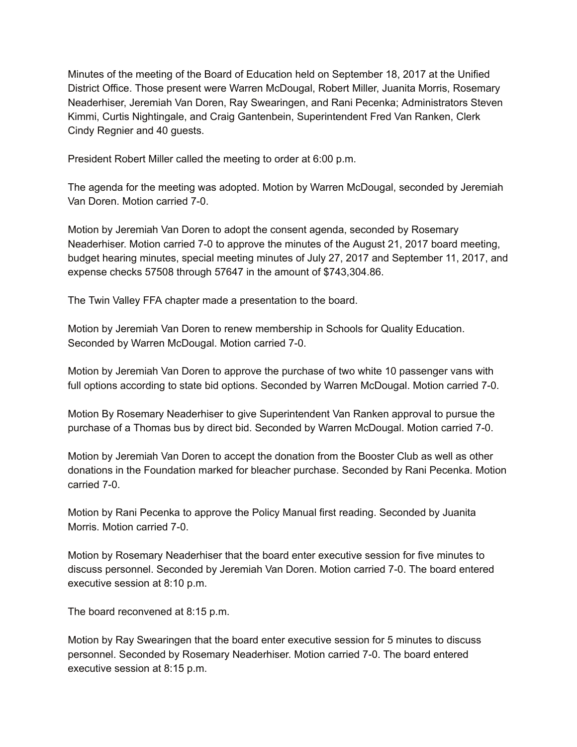Minutes of the meeting of the Board of Education held on September 18, 2017 at the Unified District Office. Those present were Warren McDougal, Robert Miller, Juanita Morris, Rosemary Neaderhiser, Jeremiah Van Doren, Ray Swearingen, and Rani Pecenka; Administrators Steven Kimmi, Curtis Nightingale, and Craig Gantenbein, Superintendent Fred Van Ranken, Clerk Cindy Regnier and 40 guests.

President Robert Miller called the meeting to order at 6:00 p.m.

The agenda for the meeting was adopted. Motion by Warren McDougal, seconded by Jeremiah Van Doren. Motion carried 7-0.

Motion by Jeremiah Van Doren to adopt the consent agenda, seconded by Rosemary Neaderhiser. Motion carried 7-0 to approve the minutes of the August 21, 2017 board meeting, budget hearing minutes, special meeting minutes of July 27, 2017 and September 11, 2017, and expense checks 57508 through 57647 in the amount of \$743,304.86.

The Twin Valley FFA chapter made a presentation to the board.

Motion by Jeremiah Van Doren to renew membership in Schools for Quality Education. Seconded by Warren McDougal. Motion carried 7-0.

Motion by Jeremiah Van Doren to approve the purchase of two white 10 passenger vans with full options according to state bid options. Seconded by Warren McDougal. Motion carried 7-0.

Motion By Rosemary Neaderhiser to give Superintendent Van Ranken approval to pursue the purchase of a Thomas bus by direct bid. Seconded by Warren McDougal. Motion carried 7-0.

Motion by Jeremiah Van Doren to accept the donation from the Booster Club as well as other donations in the Foundation marked for bleacher purchase. Seconded by Rani Pecenka. Motion carried 7-0.

Motion by Rani Pecenka to approve the Policy Manual first reading. Seconded by Juanita Morris. Motion carried 7-0.

Motion by Rosemary Neaderhiser that the board enter executive session for five minutes to discuss personnel. Seconded by Jeremiah Van Doren. Motion carried 7-0. The board entered executive session at 8:10 p.m.

The board reconvened at 8:15 p.m.

Motion by Ray Swearingen that the board enter executive session for 5 minutes to discuss personnel. Seconded by Rosemary Neaderhiser. Motion carried 7-0. The board entered executive session at 8:15 p.m.